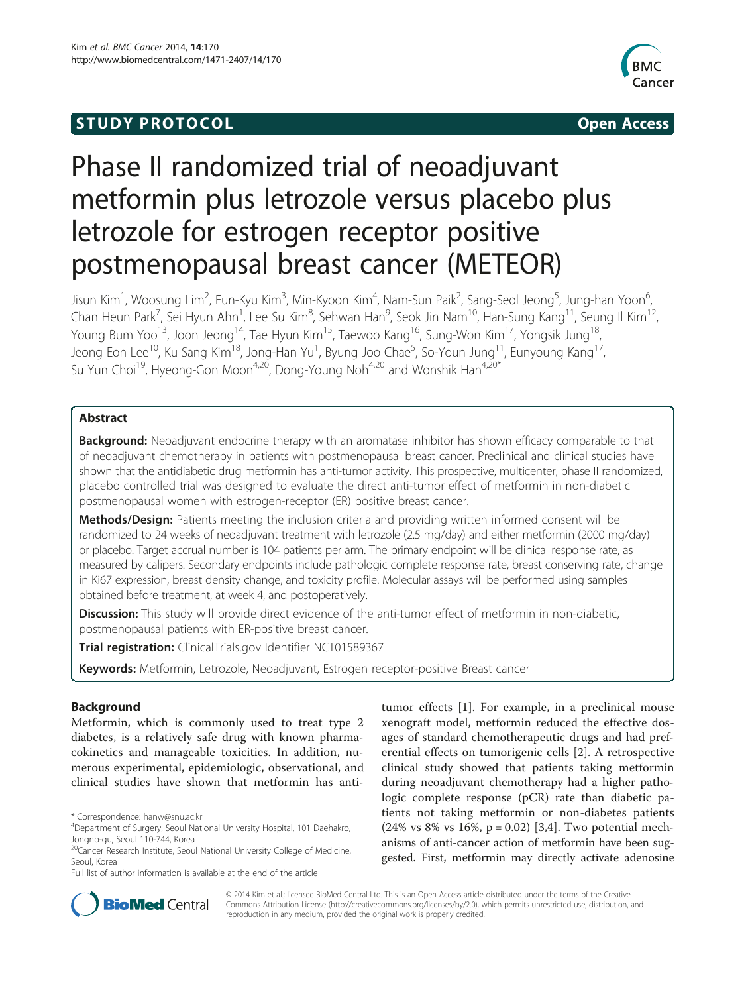## **STUDY PROTOCOL** And the set of the set of the set of the set of the set of the set of the set of the set of the set of the set of the set of the set of the set of the set of the set of the set of the set of the set of the



# Phase II randomized trial of neoadjuvant metformin plus letrozole versus placebo plus letrozole for estrogen receptor positive postmenopausal breast cancer (METEOR)

Jisun Kim<sup>1</sup>, Woosung Lim<sup>2</sup>, Eun-Kyu Kim<sup>3</sup>, Min-Kyoon Kim<sup>4</sup>, Nam-Sun Paik<sup>2</sup>, Sang-Seol Jeong<sup>5</sup>, Jung-han Yoon<sup>6</sup> , Chan Heun Park<sup>7</sup>, Sei Hyun Ahn<sup>1</sup>, Lee Su Kim<sup>8</sup>, Sehwan Han<sup>9</sup>, Seok Jin Nam<sup>10</sup>, Han-Sung Kang<sup>11</sup>, Seung Il Kim<sup>12</sup>, Young Bum Yoo<sup>13</sup>, Joon Jeong<sup>14</sup>, Tae Hyun Kim<sup>15</sup>, Taewoo Kang<sup>16</sup>, Sung-Won Kim<sup>17</sup>, Yongsik Jung<sup>18</sup>, Jeong Eon Lee<sup>10</sup>, Ku Sang Kim<sup>18</sup>, Jong-Han Yu<sup>1</sup>, Byung Joo Chae<sup>5</sup>, So-Youn Jung<sup>11</sup>, Eunyoung Kang<sup>17</sup>, Su Yun Choi<sup>19</sup>, Hyeong-Gon Moon<sup>4,20</sup>, Dong-Young Noh<sup>4,20</sup> and Wonshik Han<sup>4,20\*</sup>

## Abstract

**Background:** Neoadjuvant endocrine therapy with an aromatase inhibitor has shown efficacy comparable to that of neoadjuvant chemotherapy in patients with postmenopausal breast cancer. Preclinical and clinical studies have shown that the antidiabetic drug metformin has anti-tumor activity. This prospective, multicenter, phase II randomized, placebo controlled trial was designed to evaluate the direct anti-tumor effect of metformin in non-diabetic postmenopausal women with estrogen-receptor (ER) positive breast cancer.

Methods/Design: Patients meeting the inclusion criteria and providing written informed consent will be randomized to 24 weeks of neoadjuvant treatment with letrozole (2.5 mg/day) and either metformin (2000 mg/day) or placebo. Target accrual number is 104 patients per arm. The primary endpoint will be clinical response rate, as measured by calipers. Secondary endpoints include pathologic complete response rate, breast conserving rate, change in Ki67 expression, breast density change, and toxicity profile. Molecular assays will be performed using samples obtained before treatment, at week 4, and postoperatively.

Discussion: This study will provide direct evidence of the anti-tumor effect of metformin in non-diabetic, postmenopausal patients with ER-positive breast cancer.

Trial registration: ClinicalTrials.gov Identifier [NCT01589367](http://clinicaltrial.gov/ct2/show/NCT01589367?term=%22metformin%22+AND+%22breast+cancer%22&rank=9)

Keywords: Metformin, Letrozole, Neoadjuvant, Estrogen receptor-positive Breast cancer

## Background

Metformin, which is commonly used to treat type 2 diabetes, is a relatively safe drug with known pharmacokinetics and manageable toxicities. In addition, numerous experimental, epidemiologic, observational, and clinical studies have shown that metformin has anti-

tumor effects [[1\]](#page-3-0). For example, in a preclinical mouse xenograft model, metformin reduced the effective dosages of standard chemotherapeutic drugs and had preferential effects on tumorigenic cells [\[2](#page-3-0)]. A retrospective clinical study showed that patients taking metformin during neoadjuvant chemotherapy had a higher pathologic complete response (pCR) rate than diabetic patients not taking metformin or non-diabetes patients  $(24\% \text{ vs } 8\% \text{ vs } 16\%, \text{ p} = 0.02)$  [[3,4](#page-3-0)]. Two potential mechanisms of anti-cancer action of metformin have been suggested. First, metformin may directly activate adenosine



© 2014 Kim et al.; licensee BioMed Central Ltd. This is an Open Access article distributed under the terms of the Creative Commons Attribution License [\(http://creativecommons.org/licenses/by/2.0\)](http://creativecommons.org/licenses/by/2.0), which permits unrestricted use, distribution, and reproduction in any medium, provided the original work is properly credited.

<sup>\*</sup> Correspondence: [hanw@snu.ac.kr](mailto:hanw@snu.ac.kr) <sup>4</sup>

<sup>&</sup>lt;sup>4</sup>Department of Surgery, Seoul National University Hospital, 101 Daehakro, Jongno-gu, Seoul 110-744, Korea

<sup>&</sup>lt;sup>20</sup>Cancer Research Institute, Seoul National University College of Medicine, Seoul, Korea

Full list of author information is available at the end of the article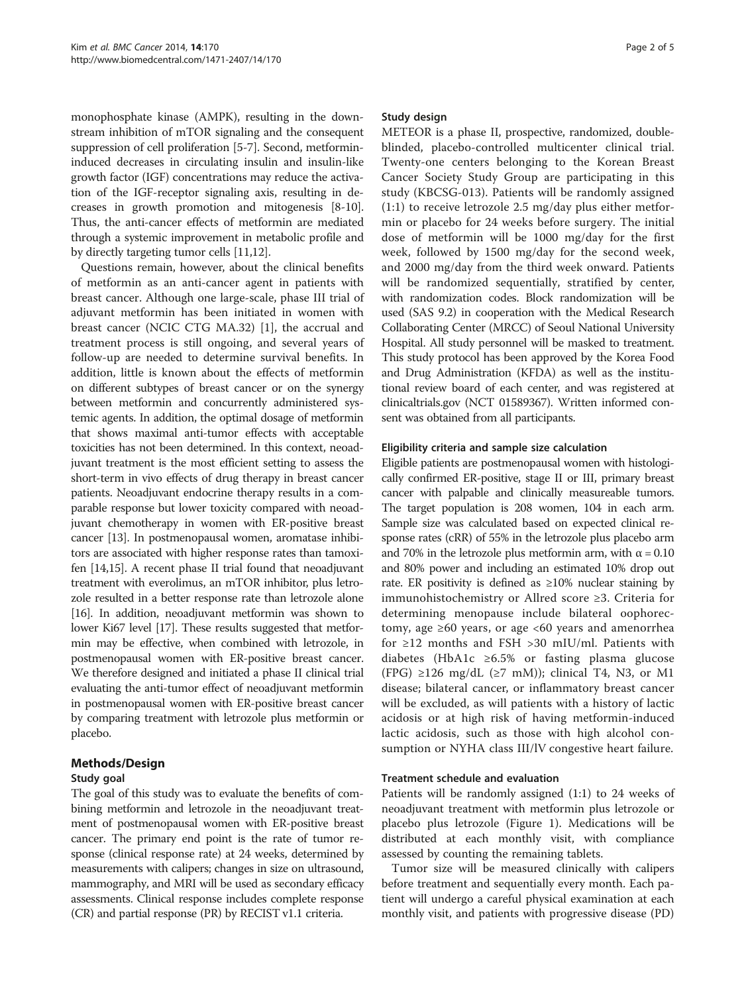monophosphate kinase (AMPK), resulting in the downstream inhibition of mTOR signaling and the consequent suppression of cell proliferation [\[5-7](#page-3-0)]. Second, metformininduced decreases in circulating insulin and insulin-like growth factor (IGF) concentrations may reduce the activation of the IGF-receptor signaling axis, resulting in decreases in growth promotion and mitogenesis [\[8](#page-3-0)-[10](#page-3-0)]. Thus, the anti-cancer effects of metformin are mediated through a systemic improvement in metabolic profile and by directly targeting tumor cells [[11,12](#page-3-0)].

Questions remain, however, about the clinical benefits of metformin as an anti-cancer agent in patients with breast cancer. Although one large-scale, phase III trial of adjuvant metformin has been initiated in women with breast cancer (NCIC CTG MA.32) [\[1\]](#page-3-0), the accrual and treatment process is still ongoing, and several years of follow-up are needed to determine survival benefits. In addition, little is known about the effects of metformin on different subtypes of breast cancer or on the synergy between metformin and concurrently administered systemic agents. In addition, the optimal dosage of metformin that shows maximal anti-tumor effects with acceptable toxicities has not been determined. In this context, neoadjuvant treatment is the most efficient setting to assess the short-term in vivo effects of drug therapy in breast cancer patients. Neoadjuvant endocrine therapy results in a comparable response but lower toxicity compared with neoadjuvant chemotherapy in women with ER-positive breast cancer [\[13](#page-3-0)]. In postmenopausal women, aromatase inhibitors are associated with higher response rates than tamoxifen [\[14,15](#page-3-0)]. A recent phase II trial found that neoadjuvant treatment with everolimus, an mTOR inhibitor, plus letrozole resulted in a better response rate than letrozole alone [[16](#page-3-0)]. In addition, neoadjuvant metformin was shown to lower Ki67 level [\[17\]](#page-4-0). These results suggested that metformin may be effective, when combined with letrozole, in postmenopausal women with ER-positive breast cancer. We therefore designed and initiated a phase II clinical trial evaluating the anti-tumor effect of neoadjuvant metformin in postmenopausal women with ER-positive breast cancer by comparing treatment with letrozole plus metformin or placebo.

## Methods/Design

## Study goal

The goal of this study was to evaluate the benefits of combining metformin and letrozole in the neoadjuvant treatment of postmenopausal women with ER-positive breast cancer. The primary end point is the rate of tumor response (clinical response rate) at 24 weeks, determined by measurements with calipers; changes in size on ultrasound, mammography, and MRI will be used as secondary efficacy assessments. Clinical response includes complete response (CR) and partial response (PR) by RECIST v1.1 criteria.

#### Study design

METEOR is a phase II, prospective, randomized, doubleblinded, placebo-controlled multicenter clinical trial. Twenty-one centers belonging to the Korean Breast Cancer Society Study Group are participating in this study (KBCSG-013). Patients will be randomly assigned (1:1) to receive letrozole 2.5 mg/day plus either metformin or placebo for 24 weeks before surgery. The initial dose of metformin will be 1000 mg/day for the first week, followed by 1500 mg/day for the second week, and 2000 mg/day from the third week onward. Patients will be randomized sequentially, stratified by center, with randomization codes. Block randomization will be used (SAS 9.2) in cooperation with the Medical Research Collaborating Center (MRCC) of Seoul National University Hospital. All study personnel will be masked to treatment. This study protocol has been approved by the Korea Food and Drug Administration (KFDA) as well as the institutional review board of each center, and was registered at clinicaltrials.gov (NCT 01589367). Written informed consent was obtained from all participants.

#### Eligibility criteria and sample size calculation

Eligible patients are postmenopausal women with histologically confirmed ER-positive, stage II or III, primary breast cancer with palpable and clinically measureable tumors. The target population is 208 women, 104 in each arm. Sample size was calculated based on expected clinical response rates (cRR) of 55% in the letrozole plus placebo arm and 70% in the letrozole plus metformin arm, with  $\alpha = 0.10$ and 80% power and including an estimated 10% drop out rate. ER positivity is defined as ≥10% nuclear staining by immunohistochemistry or Allred score ≥3. Criteria for determining menopause include bilateral oophorectomy, age  $\geq 60$  years, or age <60 years and amenorrhea for ≥12 months and FSH >30 mIU/ml. Patients with diabetes (HbA1c ≥6.5% or fasting plasma glucose (FPG) ≥126 mg/dL (≥7 mM)); clinical T4, N3, or M1 disease; bilateral cancer, or inflammatory breast cancer will be excluded, as will patients with a history of lactic acidosis or at high risk of having metformin-induced lactic acidosis, such as those with high alcohol consumption or NYHA class III/lV congestive heart failure.

#### Treatment schedule and evaluation

Patients will be randomly assigned (1:1) to 24 weeks of neoadjuvant treatment with metformin plus letrozole or placebo plus letrozole (Figure [1](#page-2-0)). Medications will be distributed at each monthly visit, with compliance assessed by counting the remaining tablets.

Tumor size will be measured clinically with calipers before treatment and sequentially every month. Each patient will undergo a careful physical examination at each monthly visit, and patients with progressive disease (PD)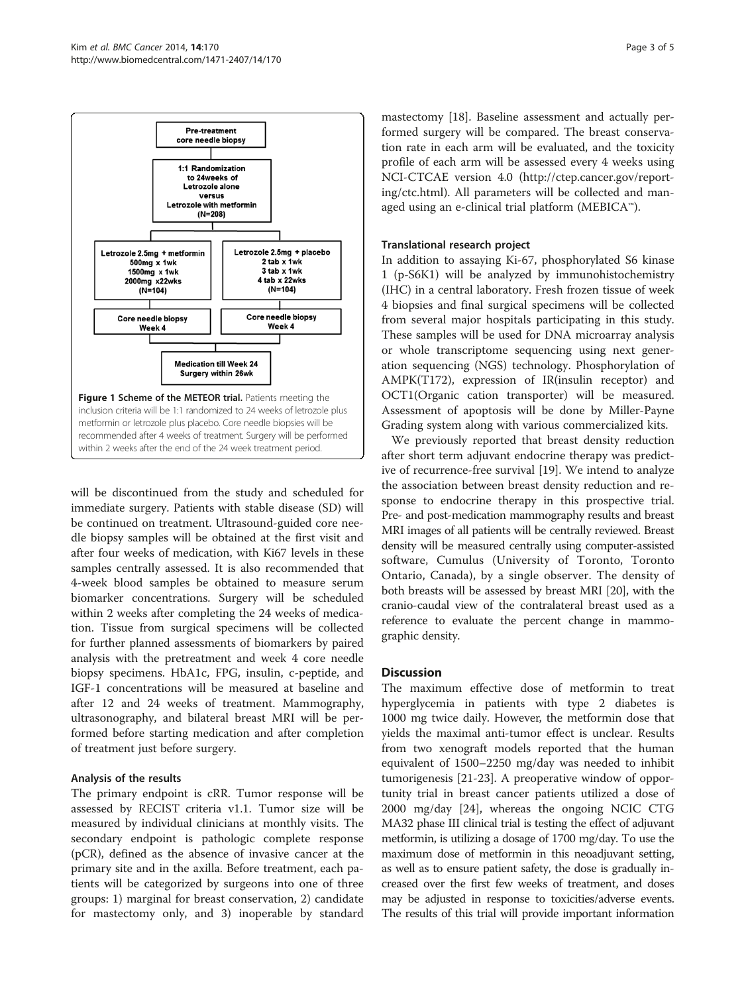<span id="page-2-0"></span>

will be discontinued from the study and scheduled for immediate surgery. Patients with stable disease (SD) will be continued on treatment. Ultrasound-guided core needle biopsy samples will be obtained at the first visit and after four weeks of medication, with Ki67 levels in these samples centrally assessed. It is also recommended that 4-week blood samples be obtained to measure serum biomarker concentrations. Surgery will be scheduled within 2 weeks after completing the 24 weeks of medication. Tissue from surgical specimens will be collected for further planned assessments of biomarkers by paired analysis with the pretreatment and week 4 core needle biopsy specimens. HbA1c, FPG, insulin, c-peptide, and IGF-1 concentrations will be measured at baseline and after 12 and 24 weeks of treatment. Mammography, ultrasonography, and bilateral breast MRI will be performed before starting medication and after completion of treatment just before surgery.

## Analysis of the results

The primary endpoint is cRR. Tumor response will be assessed by RECIST criteria v1.1. Tumor size will be measured by individual clinicians at monthly visits. The secondary endpoint is pathologic complete response (pCR), defined as the absence of invasive cancer at the primary site and in the axilla. Before treatment, each patients will be categorized by surgeons into one of three groups: 1) marginal for breast conservation, 2) candidate for mastectomy only, and 3) inoperable by standard mastectomy [\[18](#page-4-0)]. Baseline assessment and actually performed surgery will be compared. The breast conservation rate in each arm will be evaluated, and the toxicity profile of each arm will be assessed every 4 weeks using NCI-CTCAE version 4.0 ([http://ctep.cancer.gov/report](http://ctep.cancer.gov/reporting/ctc.html)[ing/ctc.html](http://ctep.cancer.gov/reporting/ctc.html)). All parameters will be collected and managed using an e-clinical trial platform (MEBICA™).

## Translational research project

In addition to assaying Ki-67, phosphorylated S6 kinase 1 (p-S6K1) will be analyzed by immunohistochemistry (IHC) in a central laboratory. Fresh frozen tissue of week 4 biopsies and final surgical specimens will be collected from several major hospitals participating in this study. These samples will be used for DNA microarray analysis or whole transcriptome sequencing using next generation sequencing (NGS) technology. Phosphorylation of AMPK(T172), expression of IR(insulin receptor) and OCT1(Organic cation transporter) will be measured. Assessment of apoptosis will be done by Miller-Payne Grading system along with various commercialized kits.

We previously reported that breast density reduction after short term adjuvant endocrine therapy was predictive of recurrence-free survival [\[19](#page-4-0)]. We intend to analyze the association between breast density reduction and response to endocrine therapy in this prospective trial. Pre- and post-medication mammography results and breast MRI images of all patients will be centrally reviewed. Breast density will be measured centrally using computer-assisted software, Cumulus (University of Toronto, Toronto Ontario, Canada), by a single observer. The density of both breasts will be assessed by breast MRI [\[20\]](#page-4-0), with the cranio-caudal view of the contralateral breast used as a reference to evaluate the percent change in mammographic density.

## **Discussion**

The maximum effective dose of metformin to treat hyperglycemia in patients with type 2 diabetes is 1000 mg twice daily. However, the metformin dose that yields the maximal anti-tumor effect is unclear. Results from two xenograft models reported that the human equivalent of 1500–2250 mg/day was needed to inhibit tumorigenesis [\[21](#page-4-0)-[23](#page-4-0)]. A preoperative window of opportunity trial in breast cancer patients utilized a dose of 2000 mg/day [[24\]](#page-4-0), whereas the ongoing NCIC CTG MA32 phase III clinical trial is testing the effect of adjuvant metformin, is utilizing a dosage of 1700 mg/day. To use the maximum dose of metformin in this neoadjuvant setting, as well as to ensure patient safety, the dose is gradually increased over the first few weeks of treatment, and doses may be adjusted in response to toxicities/adverse events. The results of this trial will provide important information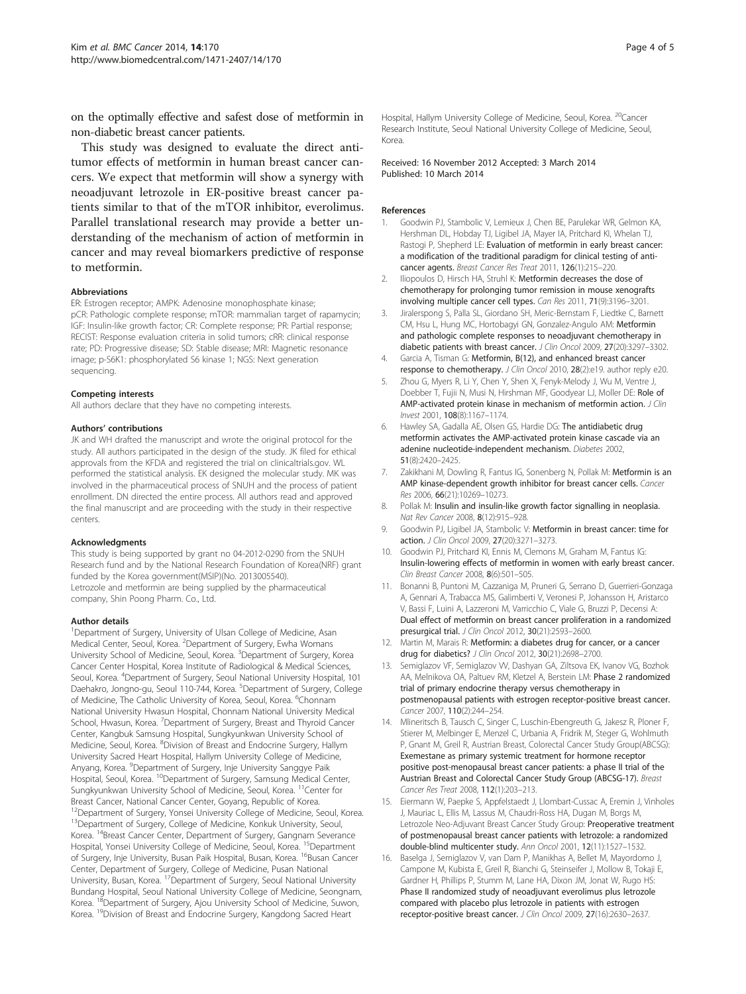<span id="page-3-0"></span>on the optimally effective and safest dose of metformin in non-diabetic breast cancer patients.

This study was designed to evaluate the direct antitumor effects of metformin in human breast cancer cancers. We expect that metformin will show a synergy with neoadjuvant letrozole in ER-positive breast cancer patients similar to that of the mTOR inhibitor, everolimus. Parallel translational research may provide a better understanding of the mechanism of action of metformin in cancer and may reveal biomarkers predictive of response to metformin.

#### Abbreviations

ER: Estrogen receptor; AMPK: Adenosine monophosphate kinase; pCR: Pathologic complete response; mTOR: mammalian target of rapamycin; IGF: Insulin-like growth factor; CR: Complete response; PR: Partial response; RECIST: Response evaluation criteria in solid tumors; cRR: clinical response rate; PD: Progressive disease; SD: Stable disease; MRI: Magnetic resonance image; p-S6K1: phosphorylated S6 kinase 1; NGS: Next generation sequencing.

#### Competing interests

All authors declare that they have no competing interests.

#### Authors' contributions

JK and WH drafted the manuscript and wrote the original protocol for the study. All authors participated in the design of the study. JK filed for ethical approvals from the KFDA and registered the trial on clinicaltrials.gov. WL performed the statistical analysis. EK designed the molecular study. MK was involved in the pharmaceutical process of SNUH and the process of patient enrollment. DN directed the entire process. All authors read and approved the final manuscript and are proceeding with the study in their respective centers.

#### Acknowledgments

This study is being supported by grant no 04-2012-0290 from the SNUH Research fund and by the National Research Foundation of Korea(NRF) grant funded by the Korea government(MSIP)(No. 2013005540). Letrozole and metformin are being supplied by the pharmaceutical company, Shin Poong Pharm. Co., Ltd.

#### Author details

<sup>1</sup>Department of Surgery, University of Ulsan College of Medicine, Asan Medical Center, Seoul, Korea. <sup>2</sup>Department of Surgery, Ewha Womans University School of Medicine, Seoul, Korea. <sup>3</sup>Department of Surgery, Korea Cancer Center Hospital, Korea Institute of Radiological & Medical Sciences, Seoul, Korea. <sup>4</sup>Department of Surgery, Seoul National University Hospital, 101 Daehakro, Jongno-gu, Seoul 110-744, Korea. <sup>5</sup>Department of Surgery, College of Medicine, The Catholic University of Korea, Seoul, Korea. <sup>6</sup>Chonnam National University Hwasun Hospital, Chonnam National University Medical School, Hwasun, Korea. <sup>7</sup>Department of Surgery, Breast and Thyroid Cancer Center, Kangbuk Samsung Hospital, Sungkyunkwan University School of Medicine, Seoul, Korea. <sup>8</sup>Division of Breast and Endocrine Surgery, Hallym University Sacred Heart Hospital, Hallym University College of Medicine, Anyang, Korea. <sup>9</sup>Department of Surgery, Inje University Sanggye Paik Hospital, Seoul, Korea. <sup>10</sup>Department of Surgery, Samsung Medical Center, Sungkyunkwan University School of Medicine, Seoul, Korea. 11Center for Breast Cancer, National Cancer Center, Goyang, Republic of Korea. <sup>12</sup>Department of Surgery, Yonsei University College of Medicine, Seoul, Korea. 13Department of Surgery, College of Medicine, Konkuk University, Seoul, Korea. 14Breast Cancer Center, Department of Surgery, Gangnam Severance Hospital, Yonsei University College of Medicine, Seoul, Korea. <sup>15</sup>Department of Surgery, Inje University, Busan Paik Hospital, Busan, Korea. <sup>16</sup>Busan Cancer Center, Department of Surgery, College of Medicine, Pusan National<br>University, Busan, Korea. <sup>17</sup>Department of Surgery, Seoul National University Bundang Hospital, Seoul National University College of Medicine, Seongnam, Korea. <sup>18</sup>Department of Surgery, Ajou University School of Medicine, Suwon, Korea. 19Division of Breast and Endocrine Surgery, Kangdong Sacred Heart

Hospital, Hallym University College of Medicine, Seoul, Korea. <sup>20</sup>Cancer Research Institute, Seoul National University College of Medicine, Seoul, Korea.

Received: 16 November 2012 Accepted: 3 March 2014 Published: 10 March 2014

#### References

- 1. Goodwin PJ, Stambolic V, Lemieux J, Chen BE, Parulekar WR, Gelmon KA, Hershman DL, Hobday TJ, Ligibel JA, Mayer IA, Pritchard KI, Whelan TJ, Rastogi P, Shepherd LE: Evaluation of metformin in early breast cancer: a modification of the traditional paradigm for clinical testing of anticancer agents. Breast Cancer Res Treat 2011, 126(1):215–220.
- 2. Iliopoulos D, Hirsch HA, Struhl K: Metformin decreases the dose of chemotherapy for prolonging tumor remission in mouse xenografts involving multiple cancer cell types. Can Res 2011, 71(9):3196–3201.
- 3. Jiralerspong S, Palla SL, Giordano SH, Meric-Bernstam F, Liedtke C, Barnett CM, Hsu L, Hung MC, Hortobagyi GN, Gonzalez-Angulo AM: Metformin and pathologic complete responses to neoadjuvant chemotherapy in diabetic patients with breast cancer. J Clin Oncol 2009, 27(20):3297–3302.
- 4. Garcia A, Tisman G: Metformin, B(12), and enhanced breast cancer response to chemotherapy. J Clin Oncol 2010, 28(2):e19. author reply e20.
- 5. Zhou G, Myers R, Li Y, Chen Y, Shen X, Fenyk-Melody J, Wu M, Ventre J, Doebber T, Fujii N, Musi N, Hirshman MF, Goodyear LJ, Moller DE: Role of AMP-activated protein kinase in mechanism of metformin action. J Clin Invest 2001, 108(8):1167–1174.
- 6. Hawley SA, Gadalla AE, Olsen GS, Hardie DG: The antidiabetic drug metformin activates the AMP-activated protein kinase cascade via an adenine nucleotide-independent mechanism. Diabetes 2002, 51(8):2420–2425.
- 7. Zakikhani M, Dowling R, Fantus IG, Sonenberg N, Pollak M: Metformin is an AMP kinase-dependent growth inhibitor for breast cancer cells. Cancer Res 2006, 66(21):10269–10273.
- 8. Pollak M: Insulin and insulin-like growth factor signalling in neoplasia. Nat Rev Cancer 2008, 8(12):915–928.
- 9. Goodwin PJ, Ligibel JA, Stambolic V: Metformin in breast cancer: time for action. J Clin Oncol 2009, 27(20):3271–3273.
- 10. Goodwin PJ, Pritchard KI, Ennis M, Clemons M, Graham M, Fantus IG: Insulin-lowering effects of metformin in women with early breast cancer. Clin Breast Cancer 2008, 8(6):501–505.
- 11. Bonanni B, Puntoni M, Cazzaniga M, Pruneri G, Serrano D, Guerrieri-Gonzaga A, Gennari A, Trabacca MS, Galimberti V, Veronesi P, Johansson H, Aristarco V, Bassi F, Luini A, Lazzeroni M, Varricchio C, Viale G, Bruzzi P, Decensi A: Dual effect of metformin on breast cancer proliferation in a randomized presurgical trial. J Clin Oncol 2012, 30(21):2593–2600.
- 12. Martin M, Marais R: Metformin: a diabetes drug for cancer, or a cancer drug for diabetics? *J Clin Oncol* 2012, 30(21):2698-2700.
- 13. Semiglazov VF, Semiglazov VV, Dashyan GA, Ziltsova EK, Ivanov VG, Bozhok AA, Melnikova OA, Paltuev RM, Kletzel A, Berstein LM: Phase 2 randomized trial of primary endocrine therapy versus chemotherapy in postmenopausal patients with estrogen receptor-positive breast cancer. Cancer 2007, 110(2):244–254.
- 14. Mlineritsch B, Tausch C, Singer C, Luschin-Ebengreuth G, Jakesz R, Ploner F, Stierer M, Melbinger E, Menzel C, Urbania A, Fridrik M, Steger G, Wohlmuth P, Gnant M, Greil R, Austrian Breast, Colorectal Cancer Study Group(ABCSG): Exemestane as primary systemic treatment for hormone receptor positive post-menopausal breast cancer patients: a phase II trial of the Austrian Breast and Colorectal Cancer Study Group (ABCSG-17). Breast Cancer Res Treat 2008, 112(1):203–213.
- 15. Eiermann W, Paepke S, Appfelstaedt J, Llombart-Cussac A, Eremin J, Vinholes J, Mauriac L, Ellis M, Lassus M, Chaudri-Ross HA, Dugan M, Borgs M, Letrozole Neo-Adjuvant Breast Cancer Study Group: Preoperative treatment of postmenopausal breast cancer patients with letrozole: a randomized double-blind multicenter study. Ann Oncol 2001, 12(11):1527–1532.
- 16. Baselga J, Semiglazov V, van Dam P, Manikhas A, Bellet M, Mayordomo J, Campone M, Kubista E, Greil R, Bianchi G, Steinseifer J, Mollow B, Tokaji E, Gardner H, Phillips P, Stumm M, Lane HA, Dixon JM, Jonat W, Rugo HS: Phase II randomized study of neoadjuvant everolimus plus letrozole compared with placebo plus letrozole in patients with estrogen receptor-positive breast cancer. J Clin Oncol 2009, 27(16):2630–2637.